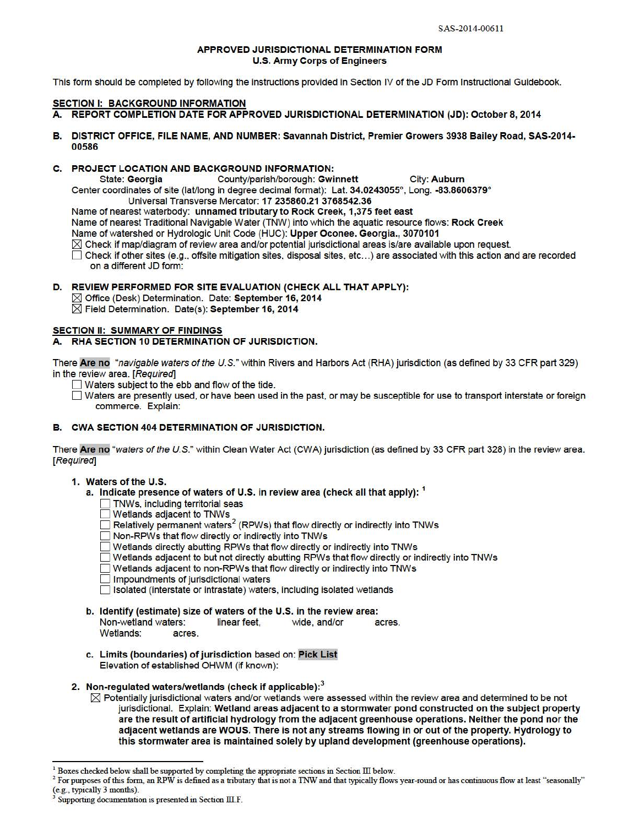#### APPROVED JURISDICTIONAL DETERMINATION FORM U.S. Army Corps of Engineers

This form should be completed by following the instructions provided in Section IV of the JD Form Instructional Guidebook.

## SECTION I: BACKGROUND INFORMATION

- A. REPORT COMPLETION DATE FOR APPROVED JURISDICTIONAL DETERMINATION (JD): October 8, 2014
- B. DISTRICT OFFICE, FILE NAME, AND NUMBER: Savannah District, Premier Growers 3938 Bailey Road, SAS-2014-00586

## C. PROJECT LOCATION AND BACKGROUND INFORMATION:

State: Georgia County/parish/borough: Gwinnett City: Auburn Center coordinates of site (lat/long in degree decimal format): Lat. 34.0243055°, Long. -83.8606379°

Universal Transverse Mercator: 17 235860.21 3768542.36

Name of nearest waterbody: unnamed tributary to Rock Creek, 1,375 feet east Name of nearest Traditional Navigable Water (TNW) into which the aquatic resource flows: Rock Creek

Name of watershed or Hydrologic Unit Code (HUC): Upper Oconee. Georgia., 3070101

 $\boxtimes$  Check if map/diagram of review area and/or potential jurisdictional areas is/are available upon request.

D Check if other sites (e.g., offsite mitigation sites, disposal sites, etc ... ) are associated with this action and are recorded on a different JD form:

## D. REVIEW PERFORMED FOR SITE EVALUATION (CHECK ALL THAT APPLY):

 $\boxtimes$  Office (Desk) Determination. Date: September 16, 2014  $\boxtimes$  Field Determination. Date(s): September 16, 2014

## SECTION II: SUMMARY OF FINDINGS

## A. RHA SECTION 10 DETERMINATION OF JURISDICTION.

There Are no "navigable waters of the U.S." within Rivers and Harbors Act (RHA) jurisdiction (as defined by 33 CFR part 329) in the review area. [Required]

- Waters subject to the ebb and flow of the tide.
- D Waters are presently used, or have been used in the past, or may be susceptible for use to transport interstate or foreign commerce. Explain:

## B. CWA SECTION 404 DETERMINATION OF JURISDICTION.

There Are no "waters of the U.S." within Clean Water Act (CWA) jurisdiction (as defined by 33 CFR part 328) in the review area. [Required]

## 1. Waters of the U.S.

- a. Indicate presence of waters of U.S. in review area (check all that apply):  $<sup>1</sup>$ </sup>
	- TNWs, including territorial seas
	- Wetlands adjacent to TNWs
	- $\Box$  Relatively permanent waters<sup>2</sup> (RPWs) that flow directly or indirectly into TNWs
	- D Non-RPWs that flow directly or indirectly into TNWs
	- D Wetlands directly abutting RPWs that flow directly or indirectly into TNWs
	- D Wetlands adjacent to but not directly abutting RPWs that flow directly or indirectly into TNWs
	- $\Box$  Wetlands adjacent to non-RPWs that flow directly or indirectly into TNWs
	- $\Box$  Impoundments of jurisdictional waters
	- D Isolated (interstate or intrastate) waters. including isolated wetlands
- b. Identify (estimate) size of waters of the U.S. in the review area: Non-wetland waters: linear feet, wide, and/or acres. Wetlands: acres.
- c. Limits (boundaries) of jurisdiction based on: Pick List Elevation of established OHWM (if known):

## 2. Non-regulated waters/wetlands (check if applicable): $<sup>3</sup>$ </sup>

 $\boxtimes$  Potentially jurisdictional waters and/or wetlands were assessed within the review area and determined to be not jurisdictional. Explain: Wetland areas adjacent to a stormwater pond constructed on the subject property are the result of artificial hydrology from the adjacent greenhouse operations. Neither the pond nor the adjacent wetlands are WOUS. There is not any streams flowing in or out of the property. Hydrology to this stormwater area is maintained solely by upland development (greenhouse operations).

 $1$  Boxes checked below shall be supported by completing the appropriate sections in Section III below.

 $2$  For purposes of this form, an RPW is defined as a tributary that is not a TNW and that typically flows year-round or has continuous flow at least "seasonally" (e.g., typically 3 months).

Supporting documentation is presented in Section III.F.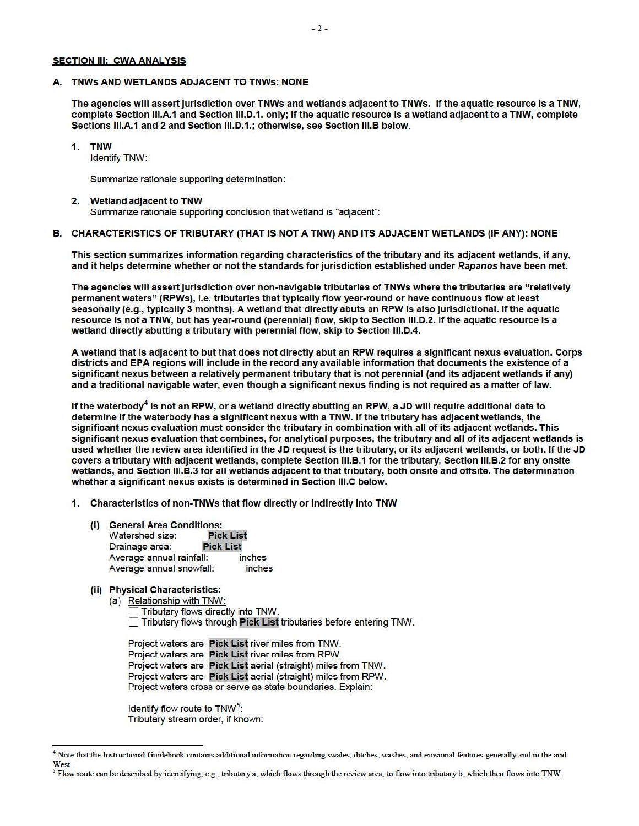#### SECTION III: CWA ANALYSIS

#### A. TNWs AND WETLANDS ADJACENT TO TNWs: NONE

The agencies will assert jurisdiction over TNWs and wetlands adjacent to TNWs. If the aquatic resource is a TNW, complete Section 111.A.1 and Section 111.D.1. only; if the aquatic resource is a wetland adjacent to a TNW, complete Sections 111.A.1 and 2 and Section 111.D.1.; otherwise, see Section 111.B below.

1. TNW

Identify TNW:

Summarize rationale supporting determination:

#### 2. Wetland adjacent to TNW

Summarize rationale supporting conclusion that wetland is "adjacent":

## B. CHARACTERISTICS OF TRIBUTARY (THAT IS NOT A TNW) AND ITS ADJACENT WETLANDS (IF ANY): NONE

This section summarizes information regarding characteristics of the tributary and its adjacent wetlands, if any, and it helps determine whether or not the standards for jurisdiction established under Rapanos have been met.

The agencies will assert jurisdiction over non-navigable tributaries of TNWs where the tributaries are "relatively permanent waters" (RPWs), i.e. tributaries that typically flow year-round or have continuous flow at least seasonally (e.g., typically 3 months). A wetland that directly abuts an RPW is also jurisdictional. If the aquatic resource is not a TNW, but has year-round (perennial) flow, skip to Section 111.D.2. If the aquatic resource is a wetland directly abutting a tributary with perennial flow, skip to Section 111.D.4.

A wetland that is adjacent to but that does not directly abut an RPW requires a significant nexus evaluation. Corps districts and EPA regions will include in the record any available information that documents the existence of a significant nexus between a relatively permanent tributary that is not perennial (and its adjacent wetlands if any) and a traditional navigable water, even though a significant nexus finding is not required as a matter of law.

If the waterbody<sup>4</sup> is not an RPW, or a wetland directly abutting an RPW, a JD will require additional data to determine if the waterbody has a significant nexus with a TNW. If the tributary has adjacent wetlands, the significant nexus evaluation must consider the tributary in combination with all of its adjacent wetlands. This significant nexus evaluation that combines, for analytical purposes, the tributary and all of its adjacent wetlands is used whether the review area identified in the JD request is the tributary, or its adjacent wetlands, or both. If the JD covers a tributary with adjacent wetlands, complete Section 111.B.1 for the tributary, Section 111.B.2 for any onsite wetlands, and Section 111.B.3 for all wetlands adjacent to that tributary, both onsite and offsite. The determination whether a significant nexus exists is determined in Section 111.C below.

1. Characteristics of non-TNWs that flow directly or indirectly into TNW

- (i) General Area Conditions:<br>Watershed size: Pick List Watershed size: Drainage area: Pick List<br>Average annual rainfall: inches Average annual rainfall: Average annual snowfall: inches
- (ii) Physical Characteristics:
	- (a) Relationship with TNW:
		- Tributary flows directly into TNW. D Tributary flows through Pick List tributaries before entering TNW.

Project waters are Pick List river miles from TNW. Project waters are Pick List river miles from RPW. Project waters are Pick List aerial (straight) miles from TNW. Project waters are Pick List aerial (straight) miles from RPW. Project waters cross or serve as state boundaries. Explain:

Identify flow route to TNW<sup>5</sup>: Tributary stream order, if known:

<sup>&</sup>lt;sup>4</sup> Note that the Instructional Guidebook contains additional information regarding swales, ditches, washes, and erosional features generally and in the arid West.

*<sup>5</sup>* Flow route can be described by identifying, e.g., tributary a, which flows through the review area, to flow into tributary b, which then flows into 1NW.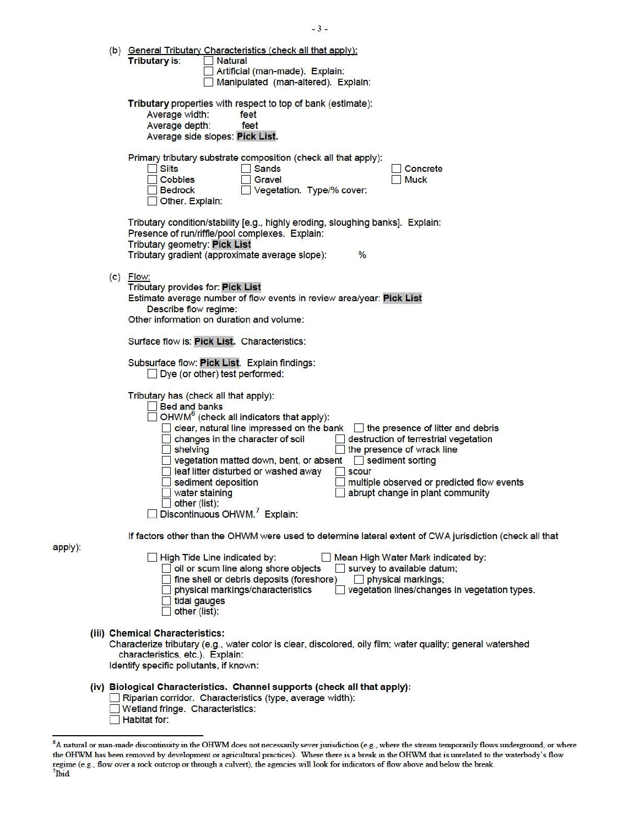|  | (b) General Tributary Characteristics (check all that apply):<br><b>Tributary is:</b><br>Natural<br>Artificial (man-made). Explain:<br>Manipulated (man-altered). Explain:                                                                                                                                                                                                                                                                                                                                                                                                                                                                     |
|--|------------------------------------------------------------------------------------------------------------------------------------------------------------------------------------------------------------------------------------------------------------------------------------------------------------------------------------------------------------------------------------------------------------------------------------------------------------------------------------------------------------------------------------------------------------------------------------------------------------------------------------------------|
|  | Tributary properties with respect to top of bank (estimate):<br>Average width:<br>feet<br>Average depth:<br>feet<br>Average side slopes: Pick List.                                                                                                                                                                                                                                                                                                                                                                                                                                                                                            |
|  | Primary tributary substrate composition (check all that apply):<br>Silts<br><b>Sands</b><br>Concrete<br>Cobbles<br>Gravel<br><b>Muck</b><br>Vegetation. Type/% cover:<br><b>Bedrock</b><br>Other. Explain:                                                                                                                                                                                                                                                                                                                                                                                                                                     |
|  | Tributary condition/stability [e.g., highly eroding, sloughing banks]. Explain:<br>Presence of run/riffle/pool complexes. Explain:<br><b>Tributary geometry: Pick List</b><br>Tributary gradient (approximate average slope):<br>$\frac{0}{0}$                                                                                                                                                                                                                                                                                                                                                                                                 |
|  | $(c)$ Flow:<br><b>Tributary provides for: Pick List</b><br>Estimate average number of flow events in review area/year: Pick List<br>Describe flow regime:<br>Other information on duration and volume:                                                                                                                                                                                                                                                                                                                                                                                                                                         |
|  | Surface flow is: Pick List. Characteristics:                                                                                                                                                                                                                                                                                                                                                                                                                                                                                                                                                                                                   |
|  | Subsurface flow: Pick List. Explain findings:<br>Dye (or other) test performed:                                                                                                                                                                                                                                                                                                                                                                                                                                                                                                                                                                |
|  | Tributary has (check all that apply):<br><b>Bed and banks</b><br>OHWM <sup>6</sup> (check all indicators that apply):<br>clear, natural line impressed on the bank<br>the presence of litter and debris<br>destruction of terrestrial vegetation<br>changes in the character of soil<br>the presence of wrack line<br>shelving<br>vegetation matted down, bent, or absent<br>sediment sorting<br>leaf litter disturbed or washed away<br><b>scour</b><br>sediment deposition<br>multiple observed or predicted flow events<br>water staining<br>abrupt change in plant community<br>other (list):<br>Discontinuous OHWM. <sup>7</sup> Explain: |
|  | If factors other than the OHWM were used to determine lateral extent of CWA jurisdiction (check all that                                                                                                                                                                                                                                                                                                                                                                                                                                                                                                                                       |
|  | High Tide Line indicated by:<br>◯ Mean High Water Mark indicated by:<br>oil or scum line along shore objects<br>survey to available datum;<br>fine shell or debris deposits (foreshore)<br>physical markings;<br>physical markings/characteristics<br>vegetation lines/changes in vegetation types.<br>tidal gauges<br>other (list):                                                                                                                                                                                                                                                                                                           |
|  | (iii) Chemical Characteristics:<br>Characterize tributary (e.g., water color is clear, discolored, oily film; water quality; general watershed<br>characteristics, etc.). Explain:<br>Identify specific pollutants, if known:                                                                                                                                                                                                                                                                                                                                                                                                                  |
|  | (iv) Biological Characteristics. Channel supports (check all that apply):<br>Riparian corridor. Characteristics (type, average width):<br>Wetland fringe. Characteristics:<br>Habitat for:                                                                                                                                                                                                                                                                                                                                                                                                                                                     |

apply):

 $-3-$ 

<sup>&</sup>lt;sup>6</sup>A natural or man-made discontinuity in the OHWM does not necessarily sever jurisdiction (e.g., where the stream temporarily flows underground, or where<br>the OHWM has been removed by development or agricultural practices) regime (e.g., flow over a rock outcrop or through a culvert), the agencies will look for indicators of flow above and below the break. 7 lbid.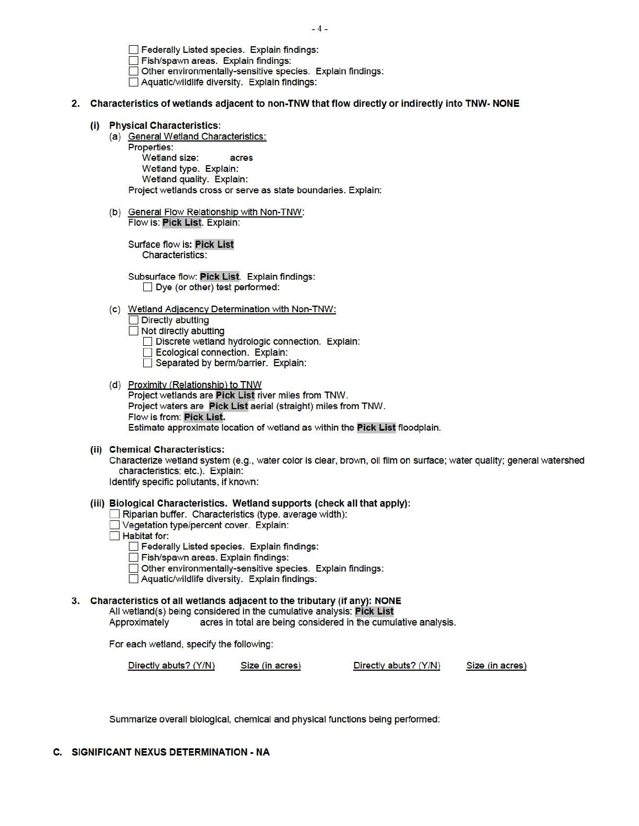$-4-$ 

**P** Federally Listed species. Explain findings:

Fish/spawn areas. Explain findings:

Other environmentally-sensitive species. Explain findings:

D Aquatic/wildlife diversity. Explain findings:

#### 2. Characteristics of wetlands adjacent to non-TNW that flow directly or indirectly into TNW- NONE

#### (i) Physical Characteristics:

(a) General Wetland Characteristics:

Properties: Wetland size: acres Wetland type. Explain: Wetland quality. Explain: Project wetlands cross or serve as state boundaries. Explain:

(b) General Flow Relationship with Non-TNW: Flow is: Pick List. Explain:

Surface flow is: Pick List Characteristics:

Subsurface flow: Pick List. Explain findings:  $\Box$  Dye (or other) test performed:

(c) Wetland Adjacency Determination with Non-TNW:

Directly abutting<br>
Not directly abutting

□ Not directly abutting<br>□ Discrete wetland hydrologic connection. Explain:

- Ecological connection. Explain:
- Separated by berm/barrier. Explain:
- (d) Proximity (Relationship) to TNW Project wetlands are Pick List river miles from TNW. Project waters are Pick List aerial (straight) miles from TNW. Flow is from: Pick List. Estimate approximate location of wetland as within the Pick List floodplain.

#### (ii) Chemical Characteristics:

Characterize wetland system (e.g., water color is clear, brown, oil film on surface; water quality; general watershed characteristics; etc.). Explain:

Identify specific pollutants, if known:

(iii) Biological Characteristics. Wetland supports (check all that apply):

Riparian buffer. Characteristics (type, average width):

D Vegetation type/percent cover. Explain:

 $\Box$  Habitat for:

**D** Federally Listed species. Explain findings:

Fish/spawn areas. Explain findings:

Other environmentally-sensitive species. Explain findings:

**□ Other environmentally-sensitive species. <br>□ Aquatic/wildlife diversity. Explain findings:** 

3. Characteristics of all wetlands adjacent to the tributary (if any): NONE

All wetland(s) being considered in the cumulative analysis: Pick List

Approximately acres in total are being considered in the cumulative analysis.

For each wetland, specify the following:

Directly abuts? (Y/N) Size (in acres) Directly abuts? (Y/N) Size (in acres)

Summarize overall biological, chemical and physical functions being performed:

## C. SIGNIFICANT NEXUS DETERMINATION ·NA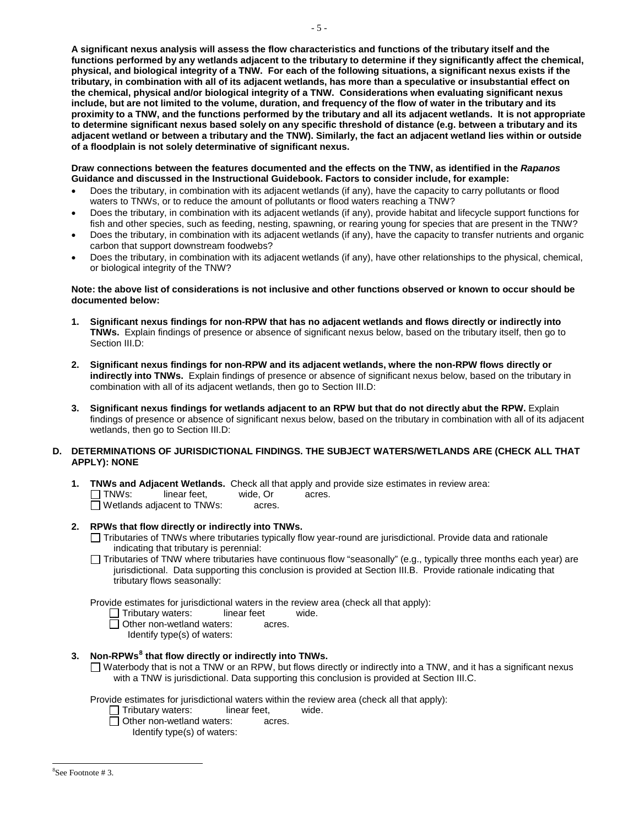**A significant nexus analysis will assess the flow characteristics and functions of the tributary itself and the tributary, in combination with all of its adjacent wetlands, has more than a speculative or insubstantial effect on the chemical, physical and/or biological integrity of a TNW. Considerations when evaluating significant nexus include, but are not limited to the volume, duration, and frequency of the flow of water in the tributary and its proximity to a TNW, and the functions performed by the tributary and all its adjacent wetlands. It is not appropriate of a floodplain is not solely determinative of significant nexus. functions performed by any wetlands adjacent to the tributary to determine if they significantly affect the chemical, physical, and biological integrity of a TNW. For each of the following situations, a significant nexus exists if the to determine significant nexus based solely on any specific threshold of distance (e.g. between a tributary and its adjacent wetland or between a tributary and the TNW). Similarly, the fact an adjacent wetland lies within or outside** 

**Draw connections between the features documented and the effects on the TNW, as identified in the** *Rapanos*  **Guidance and discussed in the Instructional Guidebook. Factors to consider include, for example:** 

- waters to TNWs, or to reduce the amount of pollutants or flood waters reaching a TNW? Does the tributary, in combination with its adjacent wetlands (if any), have the capacity to carry pollutants or flood
- fish and other species, such as feeding, nesting, spawning, or rearing young for species that are present in the TNW? Does the tributary, in combination with its adjacent wetlands (if any), provide habitat and lifecycle support functions for
- Does the tributary, in combination with its adjacent wetlands (if any), have the capacity to transfer nutrients and organic carbon that support downstream foodwebs?
- or biological integrity of the TNW? Does the tributary, in combination with its adjacent wetlands (if any), have other relationships to the physical, chemical,

#### **Note: the above list of considerations is not inclusive and other functions observed or known to occur should be documented below:**

- **1. Significant nexus findings for non-RPW that has no adjacent wetlands and flows directly or indirectly into TNWs.** Explain findings of presence or absence of significant nexus below, based on the tributary itself, then go to Section III.D:
- combination with all of its adjacent wetlands, then go to Section III.D: **2. Significant nexus findings for non-RPW and its adjacent wetlands, where the non-RPW flows directly or indirectly into TNWs.** Explain findings of presence or absence of significant nexus below, based on the tributary in
- findings of presence or absence of significant nexus below, based on the tributary in combination with all of its adjacent **3. Significant nexus findings for wetlands adjacent to an RPW but that do not directly abut the RPW.** Explain wetlands, then go to Section III.D:

## **D. DETERMINATIONS OF JURISDICTIONAL FINDINGS. THE SUBJECT WATERS/WETLANDS ARE (CHECK ALL THAT APPLY): NONE**

- **1. TNWs and Adjacent Wetlands.** Check all that apply and provide size estimates in review area:<br>
TNWs: linear feet, wide, Or acres. linear feet, wide, Or acres.<br>
acent to TNWs: acres.  $\Box$  Wetlands adjacent to TNWs:
- **2. RPWs that flow directly or indirectly into TNWs.** 
	- Tributaries of TNWs where tributaries typically flow year-round are jurisdictional. Provide data and rationale indicating that tributary is perennial:
	- Tributaries of TNW where tributaries have continuous flow "seasonally" (e.g., typically three months each year) are jurisdictional. Data supporting this conclusion is provided at Section III.B. Provide rationale indicating that tributary flows seasonally:

Provide estimates for jurisdictional waters in the review area (check all that apply):

- Tributary waters: linear feet wide.
- Other non-wetland waters: acres.
	- Identify type(s) of waters:

## **3. Non-RPWs8 that flow directly or indirectly into TNWs.**

 with a TNW is jurisdictional. Data supporting this conclusion is provided at Section III.C.  $\Box$  Waterbody that is not a TNW or an RPW, but flows directly or indirectly into a TNW, and it has a significant nexus

Provide estimates for jurisdictional waters within the review area (check all that apply):<br>  $\Box$  Tributary waters: linear feet. wide.

- $\square$  Tributary waters: linear feet,<br> $\square$  Other non-wetland waters: acres.
- $\overline{\Box}$  Other non-wetland waters:

Identify type(s) of waters:

 $\overline{a}$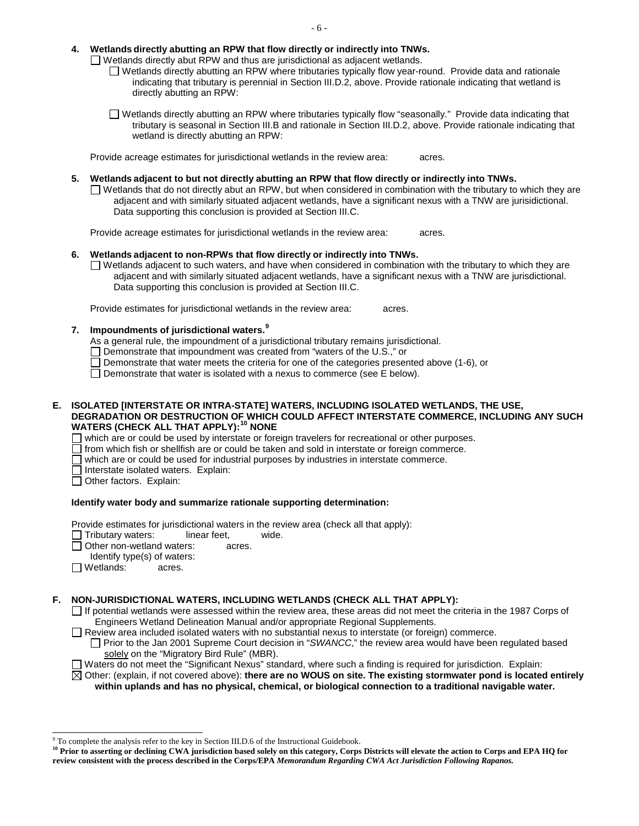## **4. Wetlands directly abutting an RPW that flow directly or indirectly into TNWs.**

 $\Box$  Wetlands directly abut RPW and thus are jurisdictional as adjacent wetlands.

- Wetlands directly abut RPW and thus are jurisdictional as adjacent wetlands.<br>Ⅳ Wetlands directly abutting an RPW where tributaries typically flow year-round. Provide data and rationale indicating that tributary is perennial in Section III.D.2, above. Provide rationale indicating that wetland is directly abutting an RPW:
- Wetlands directly abutting an RPW where tributaries typically flow "seasonally." Provide data indicating that tributary is seasonal in Section III.B and rationale in Section III.D.2, above. Provide rationale indicating that wetland is directly abutting an RPW:

 Provide acreage estimates for jurisdictional wetlands in the review area: acres.

**5. Wetlands adjacent to but not directly abutting an RPW that flow directly or indirectly into TNWs.** 

 $\Box$  Wetlands that do not directly abut an RPW, but when considered in combination with the tributary to which they are adjacent and with similarly situated adjacent wetlands, have a significant nexus with a TNW are jurisidictional. Data supporting this conclusion is provided at Section III.C.

 Provide acreage estimates for jurisdictional wetlands in the review area: acres.

# **6. Wetlands adjacent to non-RPWs that flow directly or indirectly into TNWs.**

 $\Box$  Wetlands adjacent to such waters, and have when considered in combination with the tributary to which they are adjacent and with similarly situated adjacent wetlands, have a significant nexus with a TNW are jurisdictional. Data supporting this conclusion is provided at Section III.C.

Provide estimates for jurisdictional wetlands in the review area: acres.

# **7. Impoundments of jurisdictional waters. 9**

As a general rule, the impoundment of a jurisdictional tributary remains jurisdictional.

- $\Box$  Demonstrate that impoundment was created from "waters of the U.S.," or
- Demonstrate that water meets the criteria for one of the categories presented above (1-6), or
- □ Demonstrate that water is isolated with a nexus to commerce (see E below).

## **WATERS (CHECK ALL THAT APPLY):10 NONE E. ISOLATED [INTERSTATE OR INTRA-STATE] WATERS, INCLUDING ISOLATED WETLANDS, THE USE, DEGRADATION OR DESTRUCTION OF WHICH COULD AFFECT INTERSTATE COMMERCE, INCLUDING ANY SUCH**

 $\Box$  which are or could be used by interstate or foreign travelers for recreational or other purposes.

 $\Box$  from which fish or shellfish are or could be taken and sold in interstate or foreign commerce.

 $\Box$  which are or could be used for industrial purposes by industries in interstate commerce.

- $\Box$  Interstate isolated waters. Explain:
- $\Box$  Other factors. Explain:

# **Identify water body and summarize rationale supporting determination:**

Provide estimates for jurisdictional waters in the review area (check all that apply):

- $\Box$  Tributary waters: linear feet, wide.
- Other non-wetland waters: acres.
- Identify type(s) of waters:
- Wetlands: acres.

j

# **F. NON-JURISDICTIONAL WATERS, INCLUDING WETLANDS (CHECK ALL THAT APPLY):**

- $\Box$  If potential wetlands were assessed within the review area, these areas did not meet the criteria in the 1987 Corps of Engineers Wetland Delineation Manual and/or appropriate Regional Supplements.
- Review area included isolated waters with no substantial nexus to interstate (or foreign) commerce.

Prior to the Jan 2001 Supreme Court decision in "*SWANCC*," the review area would have been regulated based solely on the "Migratory Bird Rule" (MBR).

Waters do not meet the "Significant Nexus" standard, where such a finding is required for jurisdiction. Explain:

 **within uplands and has no physical, chemical, or biological connection to a traditional navigable water.**  Other: (explain, if not covered above): **there are no WOUS on site. The existing stormwater pond is located entirely** 

<sup>&</sup>lt;sup>9</sup> To complete the analysis refer to the key in Section III.D.6 of the Instructional Guidebook.

<sup>&</sup>lt;sup>10</sup> Prior to asserting or declining CWA jurisdiction based solely on this category, Corps Districts will elevate the action to Corps and EPA HQ for  **review consistent with the process described in the Corps/EPA** *Memorandum Regarding CWA Act Jurisdiction Following Rapanos.*